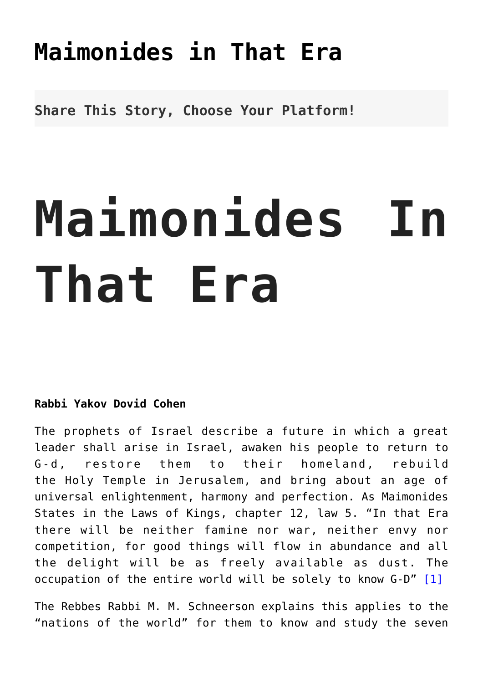## **[Maimonides in That Era](http://noahide.org/maimonides-in-that-era/)**

**Share This Story, Choose Your Platform!**

## **Maimonides In That Era**

## **Rabbi Yakov Dovid Cohen**

The prophets of Israel describe a future in which a great leader shall arise in Israel, awaken his people to return to G-d, restore them to their homeland, rebuild the Holy Temple in Jerusalem, and bring about an age of universal enlightenment, harmony and perfection. As Maimonides States in the Laws of Kings, chapter 12, law 5. "In that Era there will be neither famine nor war, neither envy nor competition, for good things will flow in abundance and all the delight will be as freely available as dust. The occupation of the entire world will be solely to know  $G-D''$  [\[1\]](#page-12-0)

<span id="page-0-0"></span>The Rebbes Rabbi M. M. Schneerson explains this applies to the "nations of the world" for them to know and study the seven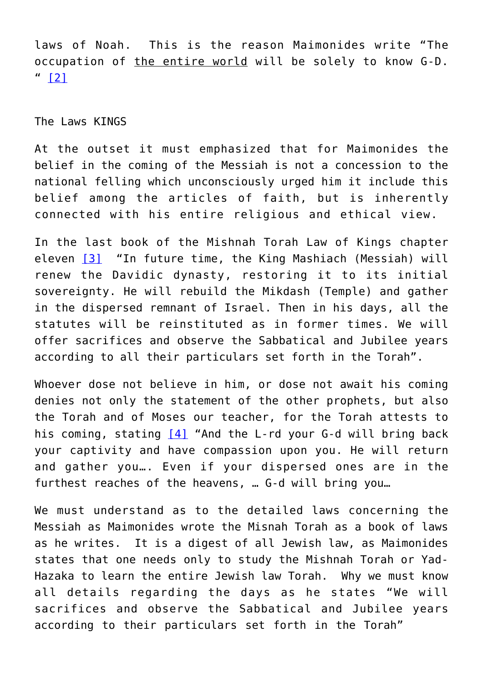<span id="page-1-0"></span>laws of Noah. This is the reason Maimonides write "The occupation of the entire world will be solely to know G-D.  $" 12]$ 

The Laws KINGS

At the outset it must emphasized that for Maimonides the belief in the coming of the Messiah is not a concession to the national felling which unconsciously urged him it include this belief among the articles of faith, but is inherently connected with his entire religious and ethical view.

<span id="page-1-1"></span>In the last book of the Mishnah Torah Law of Kings chapter eleven [\[3\]](#page-12-2) "In future time, the King Mashiach (Messiah) will renew the Davidic dynasty, restoring it to its initial sovereignty. He will rebuild the Mikdash (Temple) and gather in the dispersed remnant of Israel. Then in his days, all the statutes will be reinstituted as in former times. We will offer sacrifices and observe the Sabbatical and Jubilee years according to all their particulars set forth in the Torah".

<span id="page-1-2"></span>Whoever dose not believe in him, or dose not await his coming denies not only the statement of the other prophets, but also the Torah and of Moses our teacher, for the Torah attests to his coming, stating [\[4\]](#page-12-3) "And the L-rd your G-d will bring back your captivity and have compassion upon you. He will return and gather you…. Even if your dispersed ones are in the furthest reaches of the heavens, … G-d will bring you…

<span id="page-1-3"></span>We must understand as to the detailed laws concerning the Messiah as Maimonides wrote the Misnah Torah as a book of laws as he writes. It is a digest of all Jewish law, as Maimonides states that one needs only to study the Mishnah Torah or Yad-Hazaka to learn the entire Jewish law Torah. Why we must know all details regarding the days as he states "We will sacrifices and observe the Sabbatical and Jubilee years according to their particulars set forth in the Torah"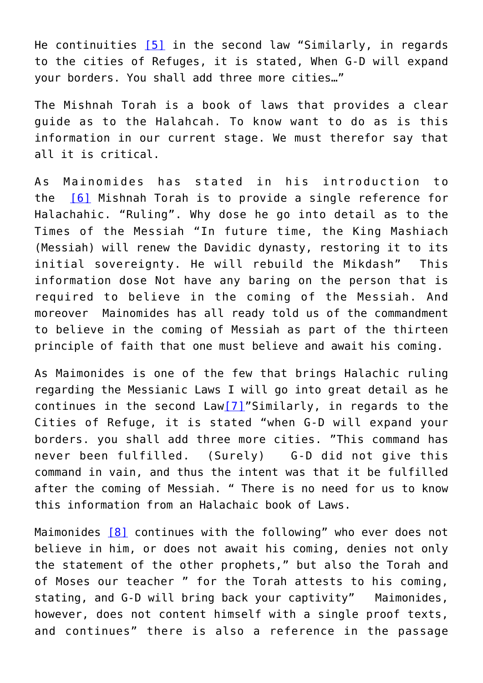He continuities [\[5\]](#page-12-4) in the second law "Similarly, in regards to the cities of Refuges, it is stated, When G-D will expand your borders. You shall add three more cities…"

The Mishnah Torah is a book of laws that provides a clear guide as to the Halahcah. To know want to do as is this information in our current stage. We must therefor say that all it is critical.

<span id="page-2-0"></span>As Mainomides has stated in his introduction to the [\[6\]](#page-12-5) Mishnah Torah is to provide a single reference for Halachahic. "Ruling". Why dose he go into detail as to the Times of the Messiah "In future time, the King Mashiach (Messiah) will renew the Davidic dynasty, restoring it to its initial sovereignty. He will rebuild the Mikdash" This information dose Not have any baring on the person that is required to believe in the coming of the Messiah. And moreover Mainomides has all ready told us of the commandment to believe in the coming of Messiah as part of the thirteen principle of faith that one must believe and await his coming.

<span id="page-2-1"></span>As Maimonides is one of the few that brings Halachic ruling regarding the Messianic Laws I will go into great detail as he continues in the second  $Law[7]$  $Law[7]$ "Similarly, in regards to the Cities of Refuge, it is stated "when G-D will expand your borders. you shall add three more cities. "This command has never been fulfilled. (Surely) G-D did not give this command in vain, and thus the intent was that it be fulfilled after the coming of Messiah. " There is no need for us to know this information from an Halachaic book of Laws.

<span id="page-2-2"></span>Maimonides [\[8\]](#page-12-7) continues with the following" who ever does not believe in him, or does not await his coming, denies not only the statement of the other prophets," but also the Torah and of Moses our teacher " for the Torah attests to his coming, stating, and G-D will bring back your captivity" Maimonides, however, does not content himself with a single proof texts, and continues" there is also a reference in the passage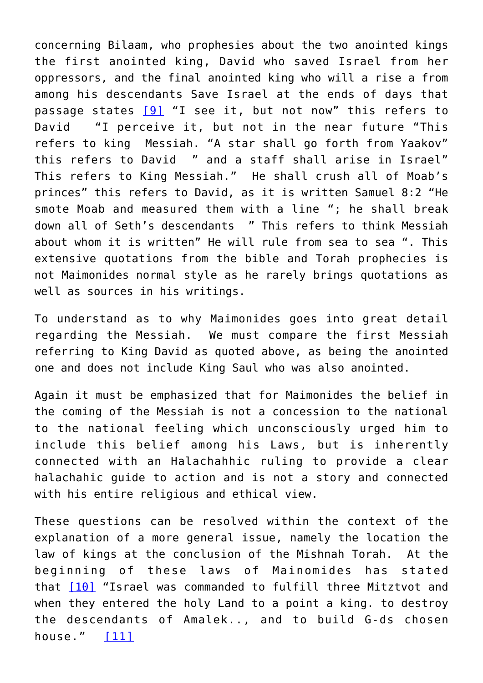<span id="page-3-0"></span>concerning Bilaam, who prophesies about the two anointed kings the first anointed king, David who saved Israel from her oppressors, and the final anointed king who will a rise a from among his descendants Save Israel at the ends of days that passage states [\[9\]](#page-12-8) "I see it, but not now" this refers to David "I perceive it, but not in the near future "This refers to king Messiah. "A star shall go forth from Yaakov" this refers to David " and a staff shall arise in Israel" This refers to King Messiah." He shall crush all of Moab's princes" this refers to David, as it is written Samuel 8:2 "He smote Moab and measured them with a line "; he shall break down all of Seth's descendants " This refers to think Messiah about whom it is written" He will rule from sea to sea ". This extensive quotations from the bible and Torah prophecies is not Maimonides normal style as he rarely brings quotations as well as sources in his writings.

To understand as to why Maimonides goes into great detail regarding the Messiah. We must compare the first Messiah referring to King David as quoted above, as being the anointed one and does not include King Saul who was also anointed.

Again it must be emphasized that for Maimonides the belief in the coming of the Messiah is not a concession to the national to the national feeling which unconsciously urged him to include this belief among his Laws, but is inherently connected with an Halachahhic ruling to provide a clear halachahic guide to action and is not a story and connected with his entire religious and ethical view.

<span id="page-3-2"></span><span id="page-3-1"></span>These questions can be resolved within the context of the explanation of a more general issue, namely the location the law of kings at the conclusion of the Mishnah Torah. At the beginning of these laws of Mainomides has stated that [\[10\]](#page-12-9) "Israel was commanded to fulfill three Mitztvot and when they entered the holy Land to a point a king. to destroy the descendants of Amalek.., and to build G-ds chosen house." [\[11\]](#page-12-10)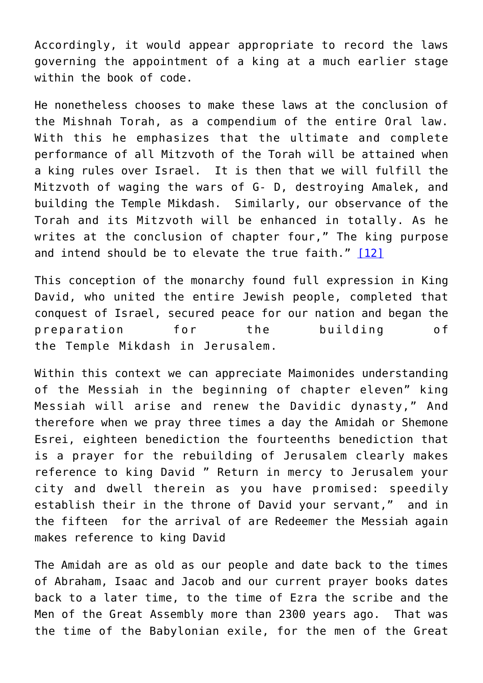Accordingly, it would appear appropriate to record the laws governing the appointment of a king at a much earlier stage within the book of code.

He nonetheless chooses to make these laws at the conclusion of the Mishnah Torah, as a compendium of the entire Oral law. With this he emphasizes that the ultimate and complete performance of all Mitzvoth of the Torah will be attained when a king rules over Israel. It is then that we will fulfill the Mitzvoth of waging the wars of G- D, destroying Amalek, and building the Temple Mikdash. Similarly, our observance of the Torah and its Mitzvoth will be enhanced in totally. As he writes at the conclusion of chapter four," The king purpose and intend should be to elevate the true faith." [\[12\]](#page-12-11)

<span id="page-4-0"></span>This conception of the monarchy found full expression in King David, who united the entire Jewish people, completed that conquest of Israel, secured peace for our nation and began the preparation for the building of the Temple Mikdash in Jerusalem.

Within this context we can appreciate Maimonides understanding of the Messiah in the beginning of chapter eleven" king Messiah will arise and renew the Davidic dynasty," And therefore when we pray three times a day the Amidah or Shemone Esrei, eighteen benediction the fourteenths benediction that is a prayer for the rebuilding of Jerusalem clearly makes reference to king David " Return in mercy to Jerusalem your city and dwell therein as you have promised: speedily establish their in the throne of David your servant," and in the fifteen for the arrival of are Redeemer the Messiah again makes reference to king David

The Amidah are as old as our people and date back to the times of Abraham, Isaac and Jacob and our current prayer books dates back to a later time, to the time of Ezra the scribe and the Men of the Great Assembly more than 2300 years ago. That was the time of the Babylonian exile, for the men of the Great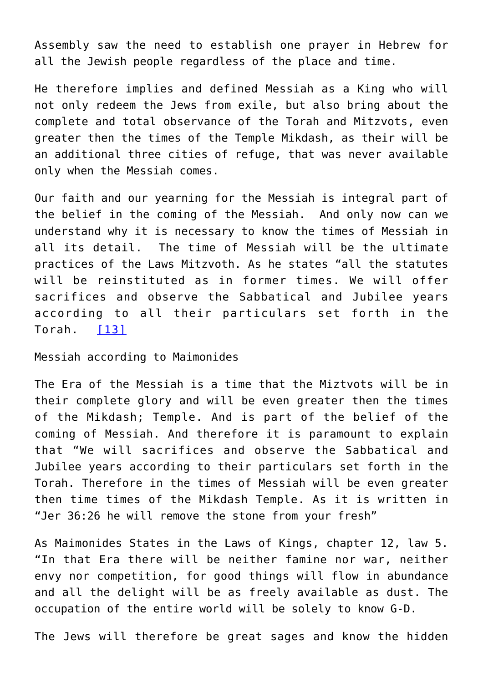Assembly saw the need to establish one prayer in Hebrew for all the Jewish people regardless of the place and time.

He therefore implies and defined Messiah as a King who will not only redeem the Jews from exile, but also bring about the complete and total observance of the Torah and Mitzvots, even greater then the times of the Temple Mikdash, as their will be an additional three cities of refuge, that was never available only when the Messiah comes.

Our faith and our yearning for the Messiah is integral part of the belief in the coming of the Messiah. And only now can we understand why it is necessary to know the times of Messiah in all its detail. The time of Messiah will be the ultimate practices of the Laws Mitzvoth. As he states "all the statutes will be reinstituted as in former times. We will offer sacrifices and observe the Sabbatical and Jubilee years according to all their particulars set forth in the Torah. [\[13\]](#page-12-12)

<span id="page-5-0"></span>Messiah according to Maimonides

The Era of the Messiah is a time that the Miztvots will be in their complete glory and will be even greater then the times of the Mikdash; Temple. And is part of the belief of the coming of Messiah. And therefore it is paramount to explain that "We will sacrifices and observe the Sabbatical and Jubilee years according to their particulars set forth in the Torah. Therefore in the times of Messiah will be even greater then time times of the Mikdash Temple. As it is written in "Jer 36:26 he will remove the stone from your fresh"

As Maimonides States in the Laws of Kings, chapter 12, law 5. "In that Era there will be neither famine nor war, neither envy nor competition, for good things will flow in abundance and all the delight will be as freely available as dust. The occupation of the entire world will be solely to know G-D.

The Jews will therefore be great sages and know the hidden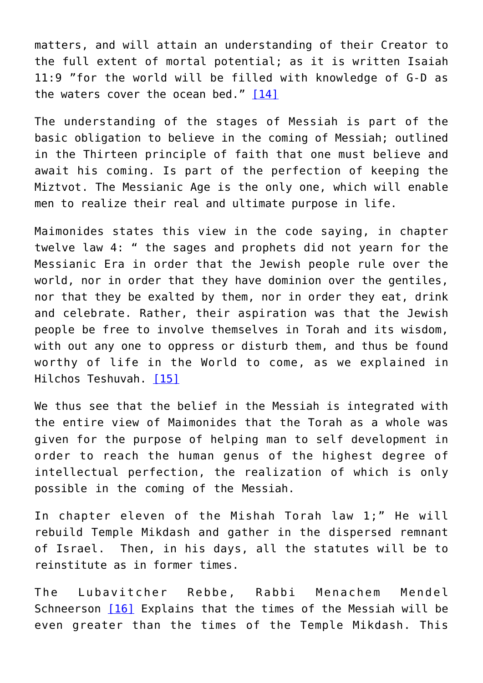matters, and will attain an understanding of their Creator to the full extent of mortal potential; as it is written Isaiah 11:9 "for the world will be filled with knowledge of G-D as the waters cover the ocean bed." [\[14\]](#page-13-0)

<span id="page-6-0"></span>The understanding of the stages of Messiah is part of the basic obligation to believe in the coming of Messiah; outlined in the Thirteen principle of faith that one must believe and await his coming. Is part of the perfection of keeping the Miztvot. The Messianic Age is the only one, which will enable men to realize their real and ultimate purpose in life.

Maimonides states this view in the code saying, in chapter twelve law 4: " the sages and prophets did not yearn for the Messianic Era in order that the Jewish people rule over the world, nor in order that they have dominion over the gentiles, nor that they be exalted by them, nor in order they eat, drink and celebrate. Rather, their aspiration was that the Jewish people be free to involve themselves in Torah and its wisdom, with out any one to oppress or disturb them, and thus be found worthy of life in the World to come, as we explained in Hilchos Teshuvah. [\[15\]](#page-13-1)

<span id="page-6-1"></span>We thus see that the belief in the Messiah is integrated with the entire view of Maimonides that the Torah as a whole was given for the purpose of helping man to self development in order to reach the human genus of the highest degree of intellectual perfection, the realization of which is only possible in the coming of the Messiah.

In chapter eleven of the Mishah Torah law 1;" He will rebuild Temple Mikdash and gather in the dispersed remnant of Israel. Then, in his days, all the statutes will be to reinstitute as in former times.

<span id="page-6-2"></span>The Lubavitcher Rebbe, Rabbi Menachem Mendel Schneerson [\[16\]](#page-13-2) Explains that the times of the Messiah will be even greater than the times of the Temple Mikdash. This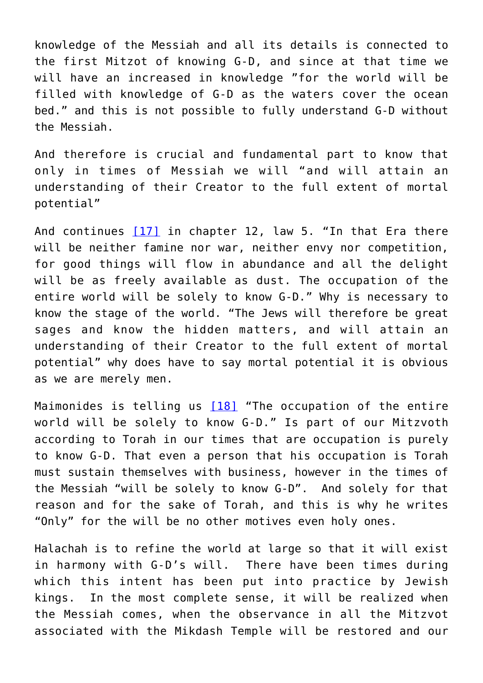knowledge of the Messiah and all its details is connected to the first Mitzot of knowing G-D, and since at that time we will have an increased in knowledge "for the world will be filled with knowledge of G-D as the waters cover the ocean bed." and this is not possible to fully understand G-D without the Messiah.

And therefore is crucial and fundamental part to know that only in times of Messiah we will "and will attain an understanding of their Creator to the full extent of mortal potential"

<span id="page-7-0"></span>And continues  $[17]$  in chapter 12, law 5. "In that Era there will be neither famine nor war, neither envy nor competition, for good things will flow in abundance and all the delight will be as freely available as dust. The occupation of the entire world will be solely to know G-D." Why is necessary to know the stage of the world. "The Jews will therefore be great sages and know the hidden matters, and will attain an understanding of their Creator to the full extent of mortal potential" why does have to say mortal potential it is obvious as we are merely men.

<span id="page-7-1"></span>Maimonides is telling us [\[18\]](#page-13-4) "The occupation of the entire world will be solely to know G-D." Is part of our Mitzvoth according to Torah in our times that are occupation is purely to know G-D. That even a person that his occupation is Torah must sustain themselves with business, however in the times of the Messiah "will be solely to know G-D". And solely for that reason and for the sake of Torah, and this is why he writes "Only" for the will be no other motives even holy ones.

Halachah is to refine the world at large so that it will exist in harmony with G-D's will. There have been times during which this intent has been put into practice by Jewish kings. In the most complete sense, it will be realized when the Messiah comes, when the observance in all the Mitzvot associated with the Mikdash Temple will be restored and our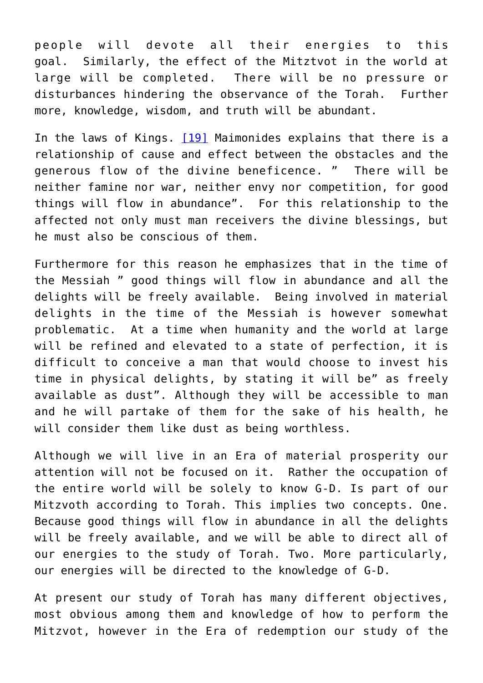people will devote all their energies to this goal. Similarly, the effect of the Mitztvot in the world at large will be completed. There will be no pressure or disturbances hindering the observance of the Torah. Further more, knowledge, wisdom, and truth will be abundant.

<span id="page-8-0"></span>In the laws of Kings. [\[19\]](#page-13-5) Maimonides explains that there is a relationship of cause and effect between the obstacles and the generous flow of the divine beneficence. " There will be neither famine nor war, neither envy nor competition, for good things will flow in abundance". For this relationship to the affected not only must man receivers the divine blessings, but he must also be conscious of them.

Furthermore for this reason he emphasizes that in the time of the Messiah " good things will flow in abundance and all the delights will be freely available. Being involved in material delights in the time of the Messiah is however somewhat problematic. At a time when humanity and the world at large will be refined and elevated to a state of perfection, it is difficult to conceive a man that would choose to invest his time in physical delights, by stating it will be" as freely available as dust". Although they will be accessible to man and he will partake of them for the sake of his health, he will consider them like dust as being worthless.

Although we will live in an Era of material prosperity our attention will not be focused on it. Rather the occupation of the entire world will be solely to know G-D. Is part of our Mitzvoth according to Torah. This implies two concepts. One. Because good things will flow in abundance in all the delights will be freely available, and we will be able to direct all of our energies to the study of Torah. Two. More particularly, our energies will be directed to the knowledge of G-D.

At present our study of Torah has many different objectives, most obvious among them and knowledge of how to perform the Mitzvot, however in the Era of redemption our study of the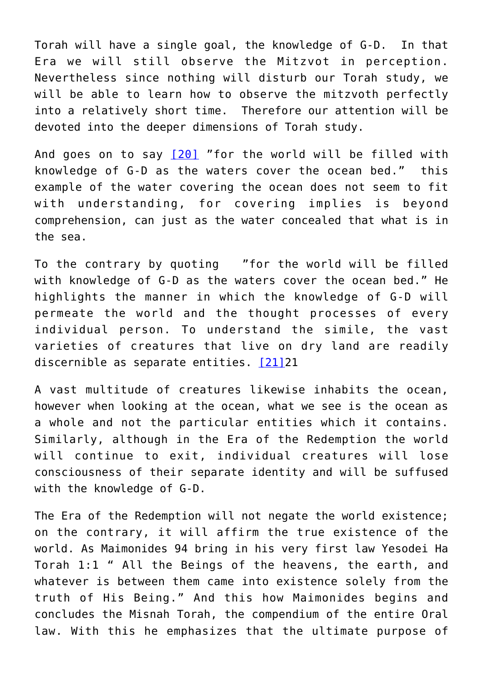Torah will have a single goal, the knowledge of G-D. In that Era we will still observe the Mitzvot in perception. Nevertheless since nothing will disturb our Torah study, we will be able to learn how to observe the mitzvoth perfectly into a relatively short time. Therefore our attention will be devoted into the deeper dimensions of Torah study.

<span id="page-9-0"></span>And goes on to say  $[20]$  "for the world will be filled with knowledge of G-D as the waters cover the ocean bed." this example of the water covering the ocean does not seem to fit with understanding, for covering implies is beyond comprehension, can just as the water concealed that what is in the sea.

To the contrary by quoting "for the world will be filled with knowledge of G-D as the waters cover the ocean bed." He highlights the manner in which the knowledge of G-D will permeate the world and the thought processes of every individual person. To understand the simile, the vast varieties of creatures that live on dry land are readily discernible as separate entities. [\[21\]](#page-13-7)21

<span id="page-9-1"></span>A vast multitude of creatures likewise inhabits the ocean, however when looking at the ocean, what we see is the ocean as a whole and not the particular entities which it contains. Similarly, although in the Era of the Redemption the world will continue to exit, individual creatures will lose consciousness of their separate identity and will be suffused with the knowledge of G-D.

The Era of the Redemption will not negate the world existence; on the contrary, it will affirm the true existence of the world. As Maimonides 94 bring in his very first law Yesodei Ha Torah 1:1 " All the Beings of the heavens, the earth, and whatever is between them came into existence solely from the truth of His Being." And this how Maimonides begins and concludes the Misnah Torah, the compendium of the entire Oral law. With this he emphasizes that the ultimate purpose of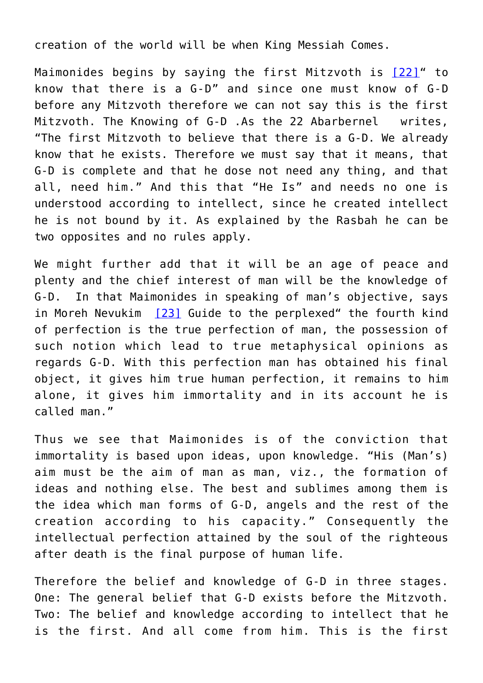creation of the world will be when King Messiah Comes.

<span id="page-10-0"></span>Maimonides begins by saying the first Mitzvoth is [\[22\]"](#page-13-8) to know that there is a G-D" and since one must know of G-D before any Mitzvoth therefore we can not say this is the first Mitzvoth. The Knowing of G-D .As the 22 Abarbernel writes, "The first Mitzvoth to believe that there is a G-D. We already know that he exists. Therefore we must say that it means, that G-D is complete and that he dose not need any thing, and that all, need him." And this that "He Is" and needs no one is understood according to intellect, since he created intellect he is not bound by it. As explained by the Rasbah he can be two opposites and no rules apply.

<span id="page-10-1"></span>We might further add that it will be an age of peace and plenty and the chief interest of man will be the knowledge of G-D. In that Maimonides in speaking of man's objective, says in Moreh Nevukim [\[23\]](#page-13-9) Guide to the perplexed" the fourth kind of perfection is the true perfection of man, the possession of such notion which lead to true metaphysical opinions as regards G-D. With this perfection man has obtained his final object, it gives him true human perfection, it remains to him alone, it gives him immortality and in its account he is called man."

Thus we see that Maimonides is of the conviction that immortality is based upon ideas, upon knowledge. "His (Man's) aim must be the aim of man as man, viz., the formation of ideas and nothing else. The best and sublimes among them is the idea which man forms of G-D, angels and the rest of the creation according to his capacity." Consequently the intellectual perfection attained by the soul of the righteous after death is the final purpose of human life.

Therefore the belief and knowledge of G-D in three stages. One: The general belief that G-D exists before the Mitzvoth. Two: The belief and knowledge according to intellect that he is the first. And all come from him. This is the first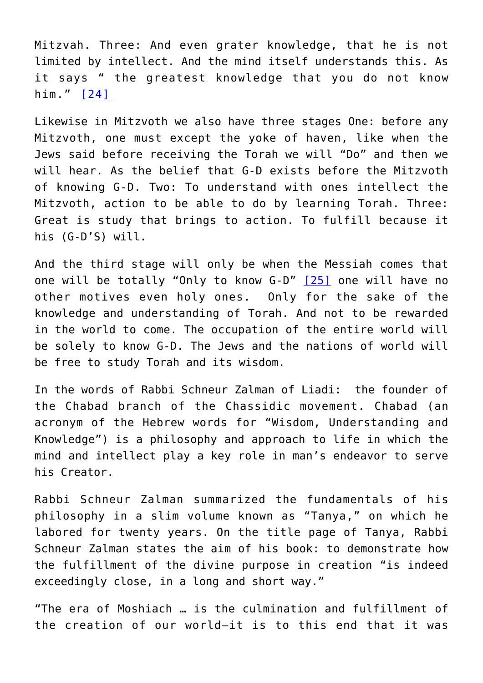<span id="page-11-0"></span>Mitzvah. Three: And even grater knowledge, that he is not limited by intellect. And the mind itself understands this. As it says " the greatest knowledge that you do not know him." [\[24\]](#page-13-10)

Likewise in Mitzvoth we also have three stages One: before any Mitzvoth, one must except the yoke of haven, like when the Jews said before receiving the Torah we will "Do" and then we will hear. As the belief that G-D exists before the Mitzvoth of knowing G-D. Two: To understand with ones intellect the Mitzvoth, action to be able to do by learning Torah. Three: Great is study that brings to action. To fulfill because it his (G-D'S) will.

<span id="page-11-1"></span>And the third stage will only be when the Messiah comes that one will be totally "Only to know G-D" [\[25\]](#page-13-11) one will have no other motives even holy ones. Only for the sake of the knowledge and understanding of Torah. And not to be rewarded in the world to come. The occupation of the entire world will be solely to know G-D. The Jews and the nations of world will be free to study Torah and its wisdom.

In the words of Rabbi Schneur Zalman of Liadi: the founder of the Chabad branch of the Chassidic movement. Chabad (an acronym of the Hebrew words for "Wisdom, Understanding and Knowledge") is a philosophy and approach to life in which the mind and intellect play a key role in man's endeavor to serve his Creator.

Rabbi Schneur Zalman summarized the fundamentals of his philosophy in a slim volume known as "Tanya," on which he labored for twenty years. On the title page of Tanya, Rabbi Schneur Zalman states the aim of his book: to demonstrate how the fulfillment of the divine purpose in creation "is indeed exceedingly close, in a long and short way."

"The era of Moshiach … is the culmination and fulfillment of the creation of our world—it is to this end that it was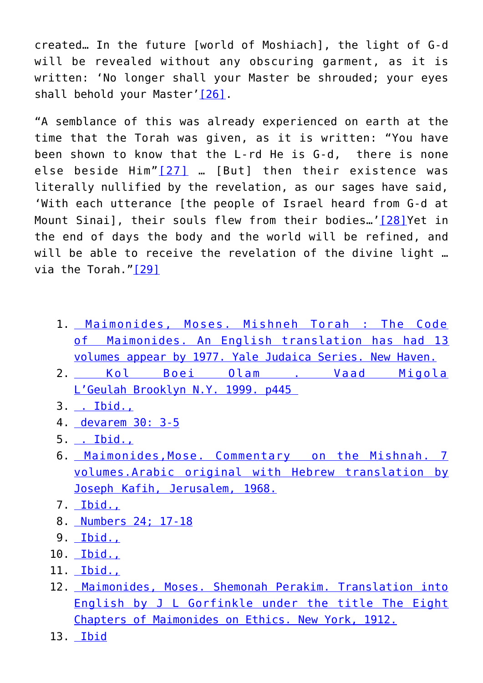created… In the future [world of Moshiach], the light of G-d will be revealed without any obscuring garment, as it is written: 'No longer shall your Master be shrouded; your eyes shall behold your Master'<sup>[\[26\]](#page-13-12)</sup>.

<span id="page-12-15"></span><span id="page-12-14"></span><span id="page-12-13"></span>"A semblance of this was already experienced on earth at the time that the Torah was given, as it is written: "You have been shown to know that the L-rd He is G-d, there is none else beside Him"<sup>[\[27\]](#page-13-13)</sup> ... [But] then their existence was literally nullified by the revelation, as our sages have said, 'With each utterance [the people of Israel heard from G-d at Mount Sinai], their souls flew from their bodies…'[\[28\]Y](#page-13-14)et in the end of days the body and the world will be refined, and will be able to receive the revelation of the divine light ... via the Torah.["\[29\]](#page-13-15)

- <span id="page-12-16"></span><span id="page-12-0"></span>1. [Maimonides, Moses. Mishneh Torah : The Code](#page-0-0) [of Maimonides. An English translation has had 13](#page-0-0) [volumes appear by 1977. Yale Judaica Series. New Haven.](#page-0-0)
- <span id="page-12-1"></span>2. [Kol Boei Olam . Vaad Migola](#page-1-0) [L'Geulah Brooklyn N.Y. 1999. p445](#page-1-0)
- <span id="page-12-2"></span>3. [. Ibid.,](#page-1-1)
- <span id="page-12-3"></span>4. [devarem 30: 3-5](#page-1-2)
- <span id="page-12-4"></span>5. [. Ibid.,](#page-1-3)
- <span id="page-12-5"></span>6. [Maimonides,Mose. Commentary on the Mishnah. 7](#page-2-0) [volumes.Arabic original with Hebrew translation by](#page-2-0) [Joseph Kafih, Jerusalem, 1968.](#page-2-0)
- <span id="page-12-6"></span>7. [Ibid.,](#page-2-1)
- <span id="page-12-7"></span>8. [Numbers 24; 17-18](#page-2-2)
- 9. [Ibid.,](#page-3-0)
- <span id="page-12-9"></span><span id="page-12-8"></span>10. [Ibid.,](#page-3-1)
- <span id="page-12-10"></span>11. [Ibid.,](#page-3-2)
- <span id="page-12-11"></span>12. [Maimonides, Moses. Shemonah Perakim. Translation into](#page-4-0) [English by J L Gorfinkle under the title The Eight](#page-4-0) [Chapters of Maimonides on Ethics. New York, 1912.](#page-4-0)
- <span id="page-12-12"></span>13. [Ibid](#page-5-0)